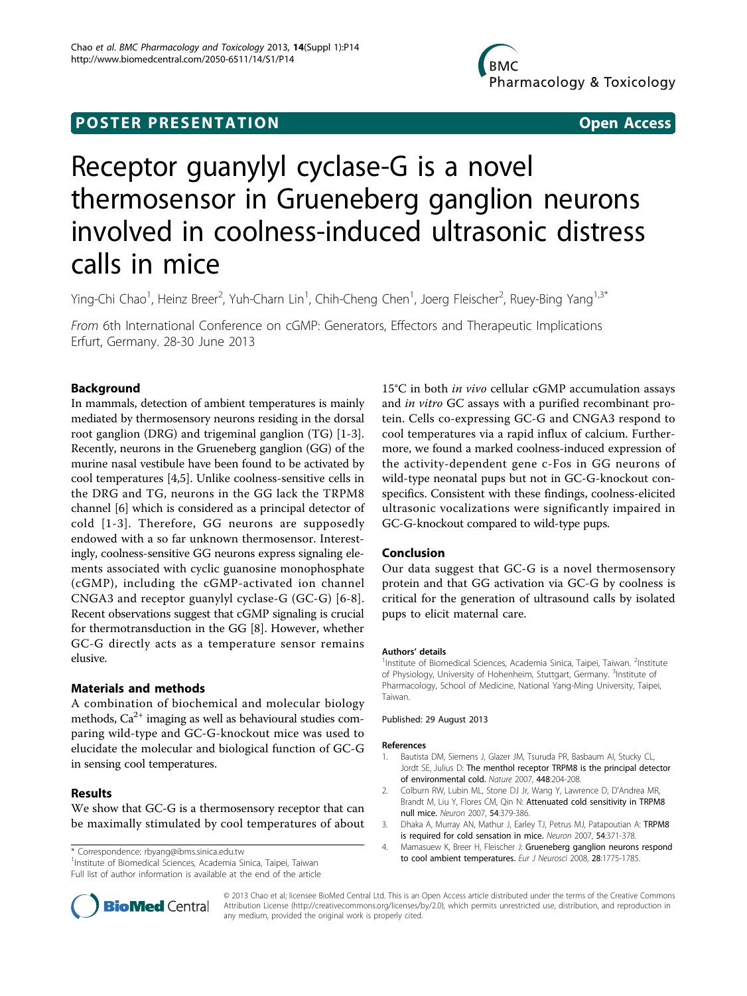# **POSTER PRESENTATION CONSUMING THE SERVICE SERVICE SERVICES**

# Receptor guanylyl cyclase-G is a novel thermosensor in Grueneberg ganglion neurons involved in coolness-induced ultrasonic distress calls in mice

Ying-Chi Chao<sup>1</sup>, Heinz Breer<sup>2</sup>, Yuh-Charn Lin<sup>1</sup>, Chih-Cheng Chen<sup>1</sup>, Joerg Fleischer<sup>2</sup>, Ruey-Bing Yang<sup>1,3\*</sup>

From 6th International Conference on cGMP: Generators, Effectors and Therapeutic Implications Erfurt, Germany. 28-30 June 2013

# Background

In mammals, detection of ambient temperatures is mainly mediated by thermosensory neurons residing in the dorsal root ganglion (DRG) and trigeminal ganglion (TG) [1-3]. Recently, neurons in the Grueneberg ganglion (GG) of the murine nasal vestibule have been found to be activated by cool temperatures [4,[5](#page-1-0)]. Unlike coolness-sensitive cells in the DRG and TG, neurons in the GG lack the TRPM8 channel [[6](#page-1-0)] which is considered as a principal detector of cold [1-3]. Therefore, GG neurons are supposedly endowed with a so far unknown thermosensor. Interestingly, coolness-sensitive GG neurons express signaling elements associated with cyclic guanosine monophosphate (cGMP), including the cGMP-activated ion channel CNGA3 and receptor guanylyl cyclase-G (GC-G) [[6](#page-1-0)-[8](#page-1-0)]. Recent observations suggest that cGMP signaling is crucial for thermotransduction in the GG [[8\]](#page-1-0). However, whether GC-G directly acts as a temperature sensor remains elusive.

# Materials and methods

A combination of biochemical and molecular biology methods,  $Ca^{2+}$  imaging as well as behavioural studies comparing wild-type and GC-G-knockout mice was used to elucidate the molecular and biological function of GC-G in sensing cool temperatures.

## Results

We show that GC-G is a thermosensory receptor that can be maximally stimulated by cool temperatures of about

<sup>1</sup>Institute of Biomedical Sciences, Academia Sinica, Taipei, Taiwan Full list of author information is available at the end of the article 15°C in both in vivo cellular cGMP accumulation assays and in vitro GC assays with a purified recombinant protein. Cells co-expressing GC-G and CNGA3 respond to cool temperatures via a rapid influx of calcium. Furthermore, we found a marked coolness-induced expression of the activity-dependent gene c-Fos in GG neurons of wild-type neonatal pups but not in GC-G-knockout conspecifics. Consistent with these findings, coolness-elicited ultrasonic vocalizations were significantly impaired in GC-G-knockout compared to wild-type pups.

## Conclusion

Our data suggest that GC-G is a novel thermosensory protein and that GG activation via GC-G by coolness is critical for the generation of ultrasound calls by isolated pups to elicit maternal care.

#### Authors' details <sup>1</sup>

Institute of Biomedical Sciences, Academia Sinica, Taipei, Taiwan. <sup>2</sup>Institute of Physiology, University of Hohenheim, Stuttgart, Germany. <sup>3</sup>Institute of Pharmacology, School of Medicine, National Yang-Ming University, Taipei, Taiwan.

#### Published: 29 August 2013

#### References

- 1. Bautista DM, Siemens J, Glazer JM, Tsuruda PR, Basbaum AI, Stucky CL, Jordt SE, Julius D: [The menthol receptor TRPM8 is the principal detector](http://www.ncbi.nlm.nih.gov/pubmed/17538622?dopt=Abstract) [of environmental cold.](http://www.ncbi.nlm.nih.gov/pubmed/17538622?dopt=Abstract) Nature 2007, 448:204-208.
- 2. Colburn RW, Lubin ML, Stone DJ Jr, Wang Y, Lawrence D, D'Andrea MR, Brandt M, Liu Y, Flores CM, Qin N: [Attenuated cold sensitivity in TRPM8](http://www.ncbi.nlm.nih.gov/pubmed/17481392?dopt=Abstract) [null mice.](http://www.ncbi.nlm.nih.gov/pubmed/17481392?dopt=Abstract) Neuron 2007, 54:379-386.
- 3. Dhaka A, Murray AN, Mathur J, Earley TJ, Petrus MJ, Patapoutian A: [TRPM8](http://www.ncbi.nlm.nih.gov/pubmed/17481391?dopt=Abstract) [is required for cold sensation in mice.](http://www.ncbi.nlm.nih.gov/pubmed/17481391?dopt=Abstract) Neuron 2007, 54:371-378.
- 4. Mamasuew K, Breer H, Fleischer J: [Grueneberg ganglion neurons respond](http://www.ncbi.nlm.nih.gov/pubmed/18973593?dopt=Abstract) to correspondence: [rbyang@ibms.sinica.edu.tw](mailto:rbyang@ibms.sinica.edu.tw) exercicles and the state of Eurosci 2008, 28:1775-1785.<br>Linetitute of Biomodical Sciences. Academia Sinica. Taipei, Taiwan



© 2013 Chao et al; licensee BioMed Central Ltd. This is an Open Access article distributed under the terms of the Creative Commons Attribution License [\(http://creativecommons.org/licenses/by/2.0](http://creativecommons.org/licenses/by/2.0)), which permits unrestricted use, distribution, and reproduction in any medium, provided the original work is properly cited.